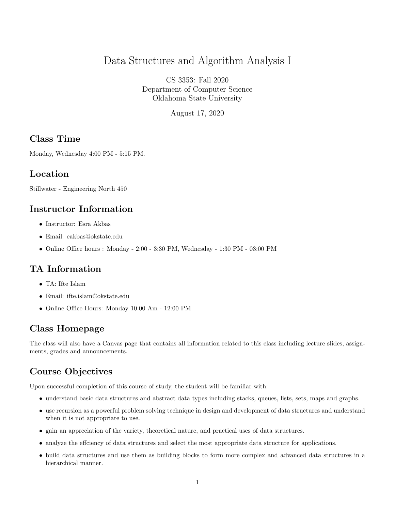# Data Structures and Algorithm Analysis I

CS 3353: Fall 2020 Department of Computer Science Oklahoma State University

August 17, 2020

#### Class Time

Monday, Wednesday 4:00 PM - 5:15 PM.

#### Location

Stillwater - Engineering North 450

#### Instructor Information

- Instructor: Esra Akbas
- Email: eakbas@okstate.edu
- Online Office hours : Monday 2:00 3:30 PM, Wednesday 1:30 PM 03:00 PM

## TA Information

- TA: Ifte Islam
- Email: ifte.islam@okstate.edu
- Online Office Hours: Monday 10:00 Am 12:00 PM

#### Class Homepage

The class will also have a Canvas page that contains all information related to this class including lecture slides, assignments, grades and announcements.

# Course Objectives

Upon successful completion of this course of study, the student will be familiar with:

- understand basic data structures and abstract data types including stacks, queues, lists, sets, maps and graphs.
- use recursion as a powerful problem solving technique in design and development of data structures and understand when it is not appropriate to use.
- gain an appreciation of the variety, theoretical nature, and practical uses of data structures.
- analyze the effciency of data structures and select the most appropriate data structure for applications.
- build data structures and use them as building blocks to form more complex and advanced data structures in a hierarchical manner.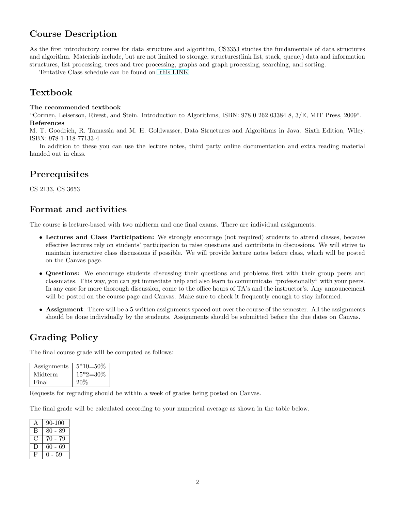## Course Description

As the first introductory course for data structure and algorithm, CS3353 studies the fundamentals of data structures and algorithm. Materials include, but are not limited to storage, structures(link list, stack, queue,) data and information structures, list processing, trees and tree processing, graphs and graph processing, searching, and sorting.

Tentative Class schedule can be found on [this LINK](https://docs.google.com/spreadsheets/d/1_IuInZBsYGtAnWWVIzwEAA9J-AQYJhPdR1xTsO71hxc/edit?usp=sharing)

### Textbook

#### The recommended textbook

"Cormen, Leiserson, Rivest, and Stein. Introduction to Algorithms, ISBN: 978 0 262 03384 8, 3/E, MIT Press, 2009". References

M. T. Goodrich, R. Tamassia and M. H. Goldwasser, Data Structures and Algorithms in Java. Sixth Edition, Wiley. ISBN: 978-1-118-77133-4

In addition to these you can use the lecture notes, third party online documentation and extra reading material handed out in class.

## **Prerequisites**

CS 2133, CS 3653

#### Format and activities

The course is lecture-based with two midterm and one final exams. There are individual assignments.

- Lectures and Class Participation: We strongly encourage (not required) students to attend classes, because effective lectures rely on students' participation to raise questions and contribute in discussions. We will strive to maintain interactive class discussions if possible. We will provide lecture notes before class, which will be posted on the Canvas page.
- Questions: We encourage students discussing their questions and problems first with their group peers and classmates. This way, you can get immediate help and also learn to communicate "professionally" with your peers. In any case for more thorough discussion, come to the office hours of TA's and the instructor's. Any announcement will be posted on the course page and Canvas. Make sure to check it frequently enough to stay informed.
- Assignment: There will be a 5 written assignments spaced out over the course of the semester. All the assignments should be done individually by the students. Assignments should be submitted before the due dates on Canvas.

#### Grading Policy

The final course grade will be computed as follows:

| Assignments | $5*10=50\%$ |
|-------------|-------------|
| Midterm     | $15*2=30\%$ |
| Final       | 20%         |

Requests for regrading should be within a week of grades being posted on Canvas.

The final grade will be calculated according to your numerical average as shown in the table below.

| $\overline{\rho}$ | 90-100     |
|-------------------|------------|
| В                 | $80 - 89$  |
|                   | 70<br>- 79 |
|                   | 60<br>- 69 |
| F                 | 59         |